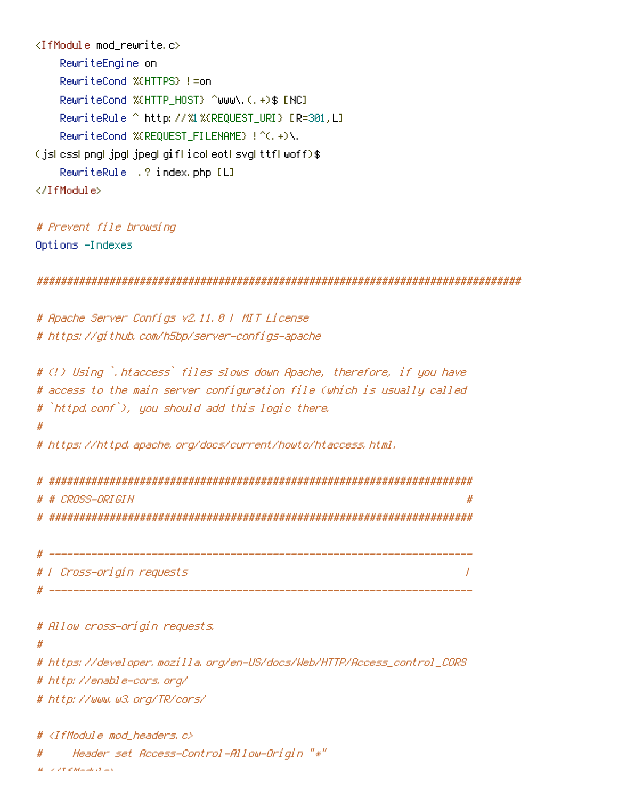```
<IfModule mod_rewrite.c>
    RewriteEngine on
    RewriteCond %{HTTPS} !=on
    RewriteCond %{HTTP_HOST} ^www\.(.+)$ [NC]
    RewriteRule ^ http://%1%{REQUEST_URI} [R=301,L]
    RewriteCond %{REQUEST_FILENAME} !^(.+)\.
(js|css|png|jpg|jpeg|gif|ico|eot|svg|ttf|woff)$
    RewriteRule .? index.php [L]
</IfModule>
```

```
# Prevent file browsing
Options -Indexes
```
################################################################################

# Apache Server Configs v2.11.0 | MIT License # https://github.com/h5bp/server-configs-apache

```
# (!) Using `.htaccess` files slows down Apache, therefore, if you have
# access to the main server configuration file (which is usually called
# `httpd.conf`), you should add this logic there.
#
# https://httpd.apache.org/docs/current/howto/htaccess.html.
```
# ###################################################################### # # CROSS-ORIGIN # # ######################################################################

```
# ----------------------------------------------------------------------
# | Cross-origin requests |
# ----------------------------------------------------------------------
```
#### # Allow cross-origin requests.

#

# https://developer.mozilla.org/en-US/docs/Web/HTTP/Access\_control\_CORS

# http://enable-cors.org/

# http://www.w3.org/TR/cors/

 $#$  <IfModule mod headers.c>

# Header set Access-Control-Allow-Origin "\*"

 $\mu$  -  $\lambda$  T  $\leq M$  and  $\lambda$   $\geq$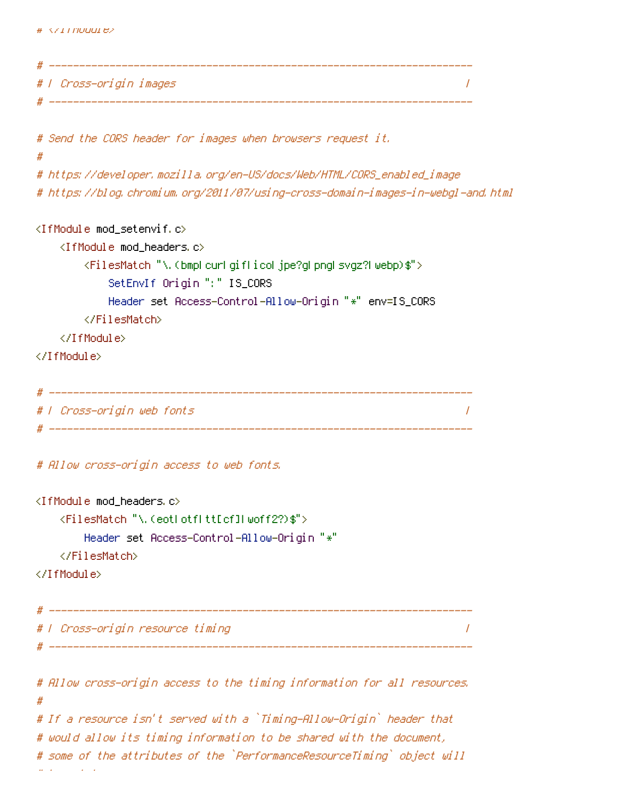```
# ----------------------------------------------------------------------
# | Cross-origin images |
# ----------------------------------------------------------------------
# Send the CORS header for images when browsers request it.
#
# https://developer.mozilla.org/en-US/docs/Web/HTML/CORS_enabled_image
# https://blog.chromium.org/2011/07/using-cross-domain-images-in-webgl-and.html
<IfModule mod_setenvif.c>
   <IfModule mod_headers.c>
       <FilesMatch "\.(bmp|cur|gif|ico|jpe?g|png|svgz?|webp)$">
           SetEnvIf Origin ":" IS_CORS
           Header set Access-Control-Allow-Origin "*" env=IS_CORS
       </FilesMatch>
   </IfModule>
</IfModule>
 # ----------------------------------------------------------------------
# | Cross-origin web fonts |
 # ----------------------------------------------------------------------
# Allow cross-origin access to web fonts.
<IfModule mod_headers.c>
   <FilesMatch "\.(eot|otf|tt[cf]|woff2?)$">
       Header set Access-Control-Allow-Origin "*"
   </FilesMatch>
</IfModule>
# ----------------------------------------------------------------------
# | Cross-origin resource timing |
 # ----------------------------------------------------------------------
# Allow cross-origin access to the timing information for all resources.
#
# If a resource isn't served with a `Timing-Allow-Origin` header that
# would allow its timing information to be shared with the document,
# some of the attributes of the `PerformanceResourceTiming` object will
# be set to zero.
```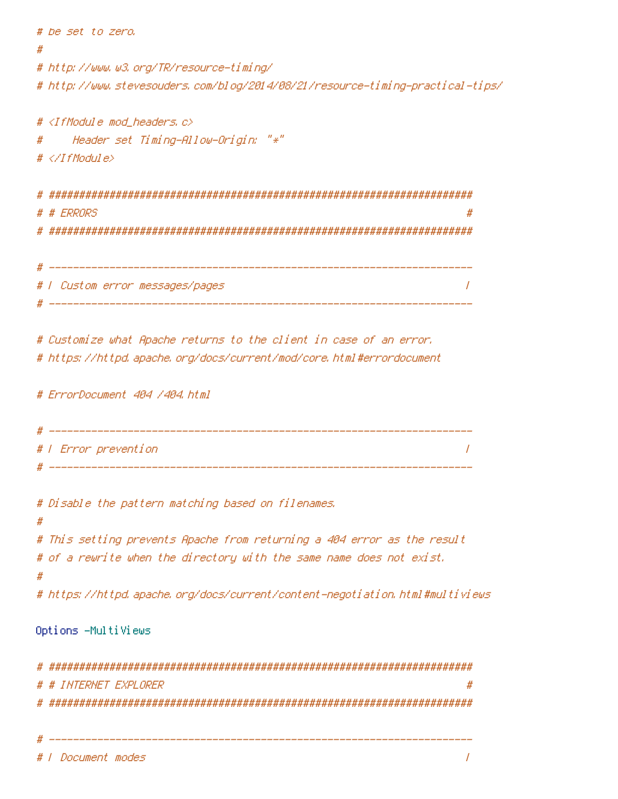```
# be set to zero.
#
# http://www.w3.org/TR/resource-timing/
# http://www.stevesouders.com/blog/2014/08/21/resource-timing-practical-tips/
# <IfModule mod_headers.c>
# Header set Timing-Allow-Origin: "*"
# </IfModule>
 # ######################################################################
 # # ERRORS #
 # ######################################################################
 # ----------------------------------------------------------------------
 # | Custom error messages/pages |
 # ----------------------------------------------------------------------
# Customize what Apache returns to the client in case of an error.
# https://httpd.apache.org/docs/current/mod/core.html#errordocument
# ErrorDocument 404 /404.html
 # ----------------------------------------------------------------------
# | Error prevention |
 # ----------------------------------------------------------------------
# Disable the pattern matching based on filenames.
#
# This setting prevents Apache from returning a 404 error as the result
# of a rewrite when the directory with the same name does not exist.
#
# https://httpd.apache.org/docs/current/content-negotiation.html#multiviews
Options -MultiViews
# ######################################################################
 # # INTERNET EXPLORER #
 # ######################################################################
```
# ----------------------------------------------------------------------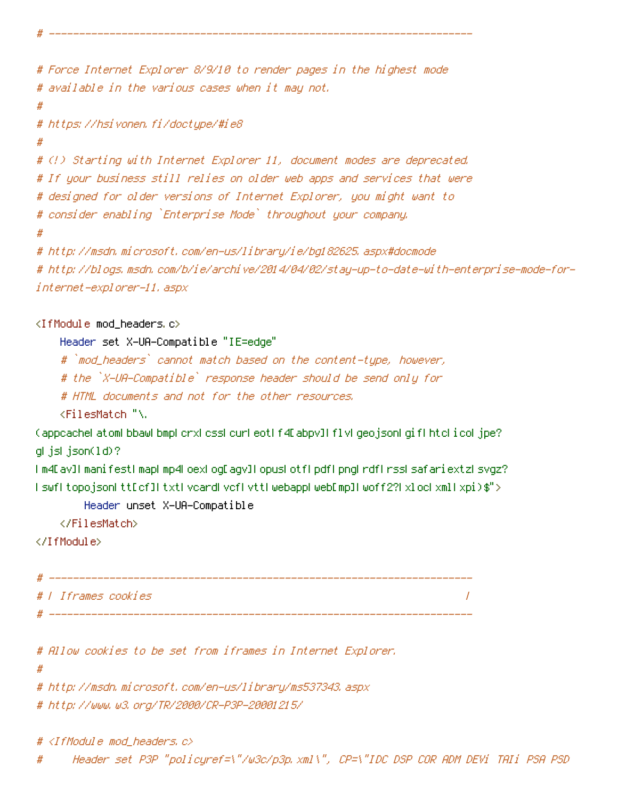```
# Force Internet Explorer 8/9/10 to render pages in the highest mode
# available in the various cases when it may not.
#
# https://hsivonen.fi/doctype/#ie8
#
# (!) Starting with Internet Explorer 11, document modes are deprecated.
# If your business still relies on older web apps and services that were
# designed for older versions of Internet Explorer, you might want to
# consider enabling `Enterprise Mode` throughout your company.
#
# http://msdn.microsoft.com/en-us/library/ie/bg182625.aspx#docmode
# http://blogs.msdn.com/b/ie/archive/2014/04/02/stay-up-to-date-with-enterprise-mode-for-
internet-explorer-11.aspx
```
## $\triangleleft$ IfModule mod headers.c>

Header set X-UA-Compatible "IE=edge"

# `mod\_headers` cannot match based on the content-type, however,

# ----------------------------------------------------------------------

# the `X-UA-Compatible` response header should be send only for

# HTML documents and not for the other resources.

<FilesMatch "\.

(appcache|atom|bbaw|bmp|crx|css|cur|eot|f4[abpv]|flv|geojson|gif|htc|ico|jpe? glislison(1d)?

|m4[av]|manifest|map|mp4|oex|og[agv]|opus|otf|pdf|png|rdf|rss|safariextz|svgz? |swf|topojson|tt[cf]|txt|vcard|vcf|vtt|webapp|web[mp]|woff2?|xloc|xml|xpi)\$">

Header unset X-UA-Compatible

</FilesMatch>

```
</IfModule>
```

```
# ----------------------------------------------------------------------
# | Iframes cookies |
 # ----------------------------------------------------------------------
```
# Allow cookies to be set from iframes in Internet Explorer.

#

# http://msdn.microsoft.com/en-us/library/ms537343.aspx

# http://www.w3.org/TR/2000/CR-P3P-20001215/

 $\langle$ IfModule mod headers.c $\rangle$ 

# Header set P3P "policyref=\"/w3c/p3p.xml\", CP=\"IDC DSP COR ADM DEVi TAIi PSA PSD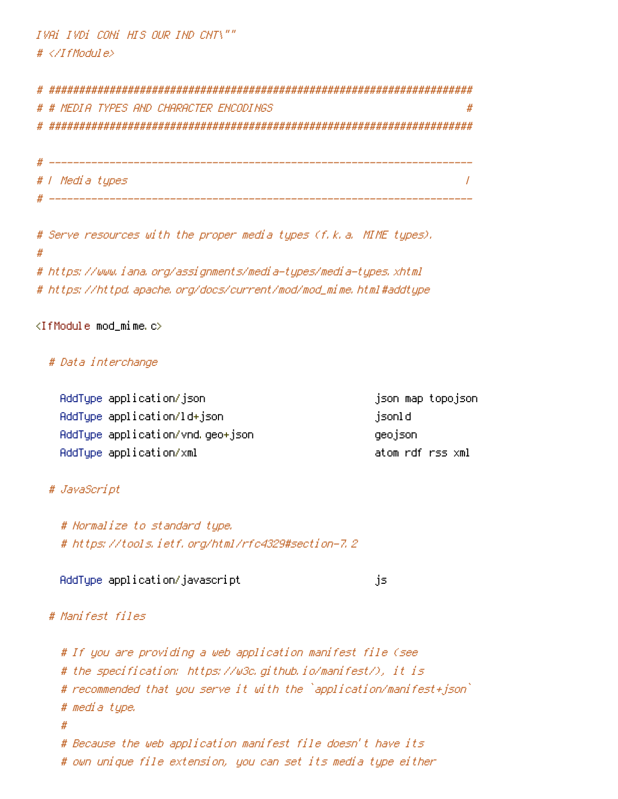IVAi IVDi CONi HIS OUR IND CNT\"" # </IfModule>

# ###################################################################### # # MEDIA TYPES AND CHARACTER ENCODINGS # # ###################################################################### # ----------------------------------------------------------------------

# | Media types | # ----------------------------------------------------------------------

# Serve resources with the proper media types (f.k.a. MIME types). # # https://www.iana.org/assignments/media-types/media-types.xhtml # https://httpd.apache.org/docs/current/mod/mod\_mime.html#addtype

## <IfModule mod\_mime.c>

## # Data interchange

AddType application/json json map topojson AddType application/ld+json jsonld jsonld AddType application/vnd.geo+json geojson AddType application/xml atom rdf rss xml

## # JavaScript

# Normalize to standard type. # https://tools.ietf.org/html/rfc4329#section-7.2

AddType application/javascript is is

## # Manifest files

# If you are providing <sup>a</sup> web application manifest file (see # the specification: https://w3c.github.io/manifest/), it is # recommended that you serve it with the `application/manifest+json` # media type. # # Because the web application manifest file doesn't have its # own unique file extension, you can set its media type either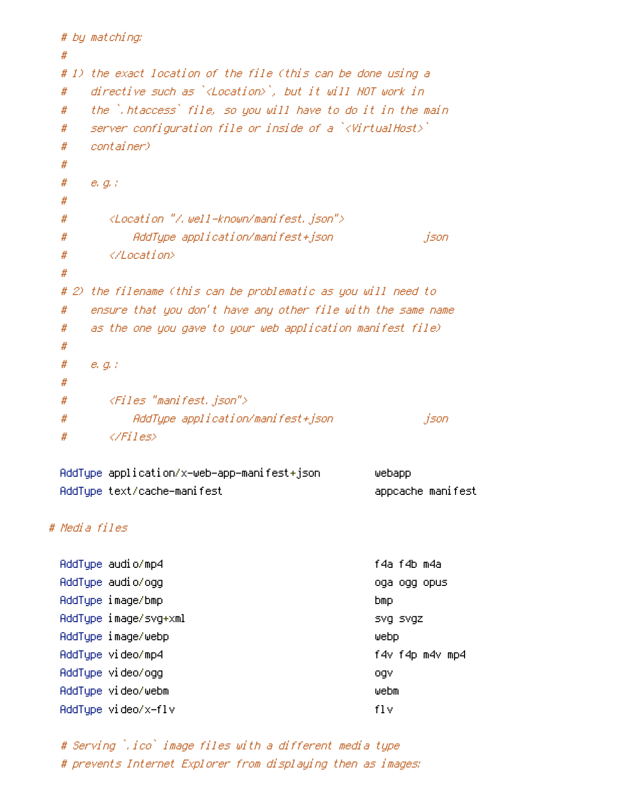```
# by matching:
 #
 # 1) the exact location of the file (this can be done using a
 # directive such as `<Location>`, but it will NOT work in
 # the `.htaccess` file, so you will have to do it in the main
 # server configuration file or inside of a `<VirtualHost>`
 # container)
 #
 # e.g.:
 #
 # <Location "/.well-known/manifest.json">
 # AddType application/manifest+json json
 # </Location>
 #
 # 2) the filename (this can be problematic as you will need to
 # ensure that you don't have any other file with the same name
 # as the one you gave to your web application manifest file)
 #
 # e.g.:
 #
 # <Files "manifest.json">
 # AddType application/manifest+json json
 # </Files>
 AddType application/x-web-app-manifest+json webapp
 AddType text/cache-manifest appcache manifest
# Media files
 AddType audio/mp4 f4a f4b m4a
 AddType audio/ogg oga ogg opus
 AddType image/bmp bmp
 AddType image/svg+xml svg svgz svgz
 AddType image/webp webp
 AddType video/mp4 f4v f4p m4v mp4
 AddType video/ogg ogv
 AddType video/webm webm
 AddType video/x-flv flv
```
# Serving `.ico` image files with <sup>a</sup> different media type # prevents Internet Explorer from displaying then as images: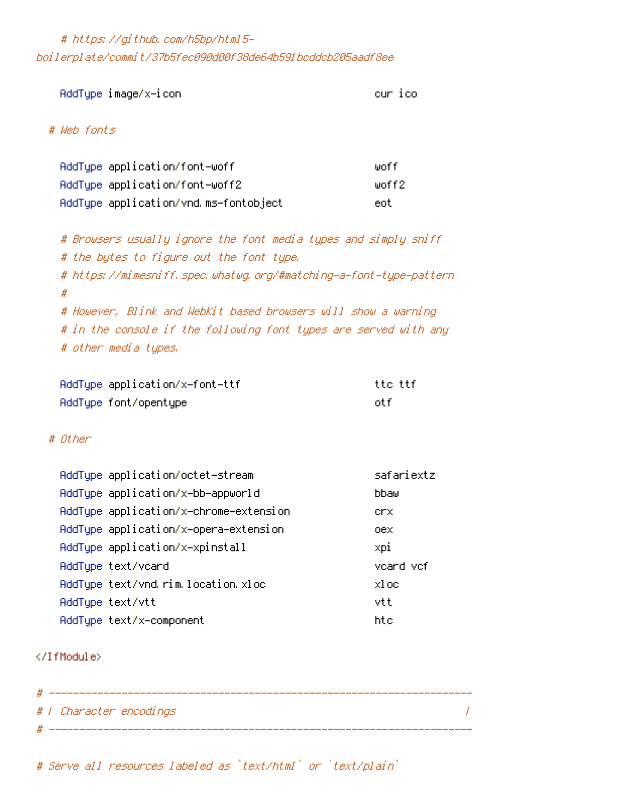# https://github.com/h5bp/html5 boilerplate/commit/37b5fec090d00f38de64b591bcddcb205aadf8ee

AddType image/x-icon cur icon cur icon cur ico

# # Web fonts

| AddType application/font-woff         | liinf f    |
|---------------------------------------|------------|
| AddType application/font-woff2        | lunf f 2 - |
| AddType application/vnd.ms-fontobject | eot        |

# Browsers usually ignore the font media types and simply sniff # the bytes to figure out the font type. # https://mimesniff.spec.whatwg.org/#matching-a-font-type-pattern # # However, Blink and WebKit based browsers will show <sup>a</sup> warning # in the console if the following font types are served with any # other media types.

| AddType application/x-font-ttf | tte ttf |
|--------------------------------|---------|
| AddType font/opentype          | nt f    |

## # Other

| AddType application/octet-stream       | safariextz |
|----------------------------------------|------------|
| AddType application/x-bb-appworld      | bbaw       |
| AddType application/x-chrome-extension | crx.       |
| AddTupe application/x-opera-extension  | oex        |
| AddTupe application/x-xpinstall        | xpi        |
| AddType text/vcard                     | vcard vcf  |
| AddType text/vnd.rim.location.xloc     | xloc       |
| AddType text/vtt                       | vtt        |
| AddType text/x-component               | htc        |

## </IfModule>

| -# |                         |  |
|----|-------------------------|--|
|    | # / Character encodings |  |
|    |                         |  |

# Serve all resources labeled as `text/html` or `text/plain`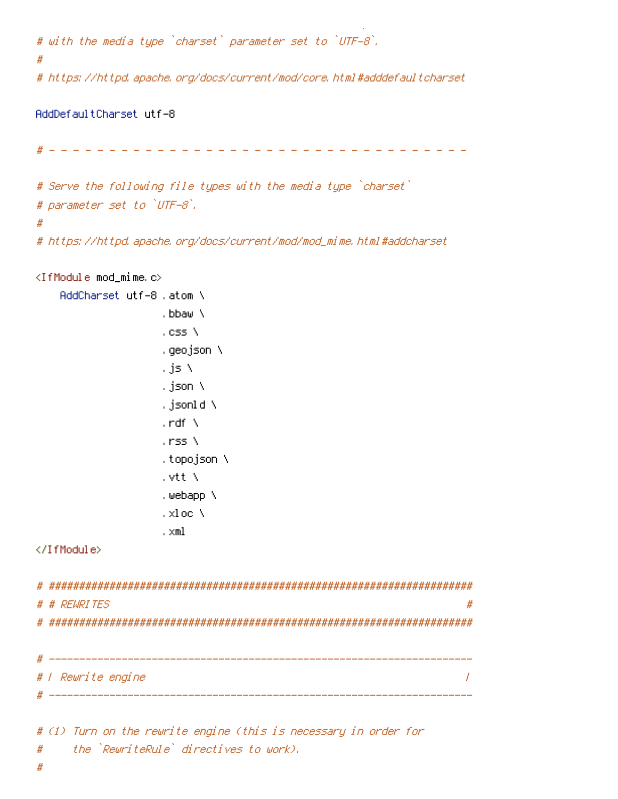```
# with the media type `charset` parameter set to `UTF-8`.
#
# https://httpd.apache.org/docs/current/mod/core.html#adddefaultcharset
```
 $\mathcal{L} = \{ \mathcal{L} \mid \mathcal{L} \in \mathcal{L} \}$  as  $\mathcal{L} = \{ \mathcal{L} \mid \mathcal{L} \in \mathcal{L} \}$ 

```
AddDefaultCharset utf-8
  # - - - - - - - - - - - - - - - - - - - - - - - - - - - - - - - - - - -
# Serve the following file types with the media type `charset`
# parameter set to `UTF-8`.
#
# https://httpd.apache.org/docs/current/mod/mod_mime.html#addcharset
<IfModule mod_mime.c>
    AddCharset utf-8 .atom \
                     .bbaw \
```

```
.css \
.geojson \
.js \
.json \
.jsonld \
. \mathsf{rdf} \setminus.rss \
.topojson \
.vtt \
.webapp \
.xloc \
```
.xml

```
</IfModule>
```

```
# ######################################################################
# # REWRITES #
# ######################################################################
 # ----------------------------------------------------------------------
# | Rewrite engine |
 # ----------------------------------------------------------------------
```

```
# (1) Turn on the rewrite engine (this is necessary in order for
# the `RewriteRule` directives to work).
```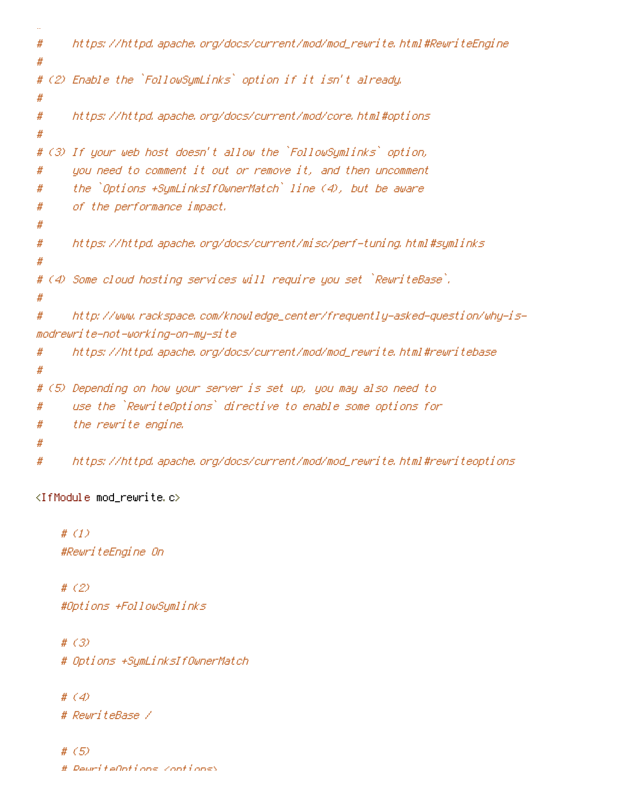```
#
# https://httpd.apache.org/docs/current/mod/mod_rewrite.html#RewriteEngine
#
# (2) Enable the `FollowSymLinks` option if it isn't already.
#
# https://httpd.apache.org/docs/current/mod/core.html#options
#
# (3) If your web host doesn't allow the `FollowSymlinks` option,
# you need to comment it out or remove it, and then uncomment
# the `Options +SymLinksIfOwnerMatch` line (4), but be aware
# of the performance impact.
#
# https://httpd.apache.org/docs/current/misc/perf-tuning.html#symlinks
#
# (4) Some cloud hosting services will require you set `RewriteBase`.
#
# http://www.rackspace.com/knowledge_center/frequently-asked-question/why-is-
modrewrite-not-working-on-my-site
# https://httpd.apache.org/docs/current/mod/mod_rewrite.html#rewritebase
#
# (5) Depending on how your server is set up, you may also need to
# use the `RewriteOptions` directive to enable some options for
# the rewrite engine.
#
# https://httpd.apache.org/docs/current/mod/mod_rewrite.html#rewriteoptions
```
<IfModule mod\_rewrite.c>

# (1) #RewriteEngine On

# (2) #Options +FollowSymlinks

# (3) # Options +SymLinksIfOwnerMatch

# (4)

# RewriteBase /

# (5) # RewriteOptions <options>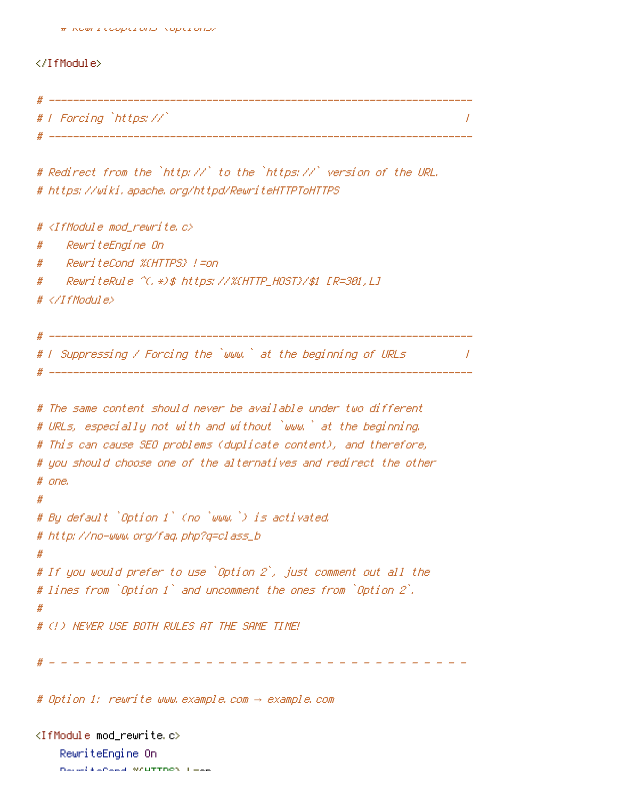#### </IfModule>

| -# |                        |  |
|----|------------------------|--|
|    | #   Forcing `https://` |  |
|    |                        |  |

```
# Redirect from the `http://` to the `https://` version of the URL.
# https://wiki.apache.org/httpd/RewriteHTTPToHTTPS
```

```
# \triangleleftIfModule mod rewrite.c\triangleright# RewriteEngine On
# RewriteCond %{HTTPS} !=on
# RewriteRule ^(.*)$ https://%{HTTP_HOST}/$1 [R=301,L]
# </IfModule>
# ----------------------------------------------------------------------
 \sqrt{I} Suppressing / Forcing the `www.` at the beginning of URLs \sqrt{I}. <u>-------------------------------</u>
# The same content should never be available under two different
# URLs, especially not with and without `www.` at the beginning.
# This can cause SEO problems (duplicate content), and therefore,
# you should choose one of the alternatives and redirect the other
# one.
#
# By default `Option 1` (no `www.`) is activated.
# http://no-www.org/faq.php?q=class_b
#
# If you would prefer to use `Option 2`, just comment out all the
# lines from `Option 1` and uncomment the ones from `Option 2`.
#
# (!) NEVER USE BOTH RULES AT THE SAME TIME!
 # - - - - - - - - - - - - - - - - - - - - - - - - - - - - - - - - - - -
```
# Option 1: rewrite www.example.com *→* example.com

<IfModule mod\_rewrite.c> RewriteEngine On RewriteCond %{HTTPS} !=on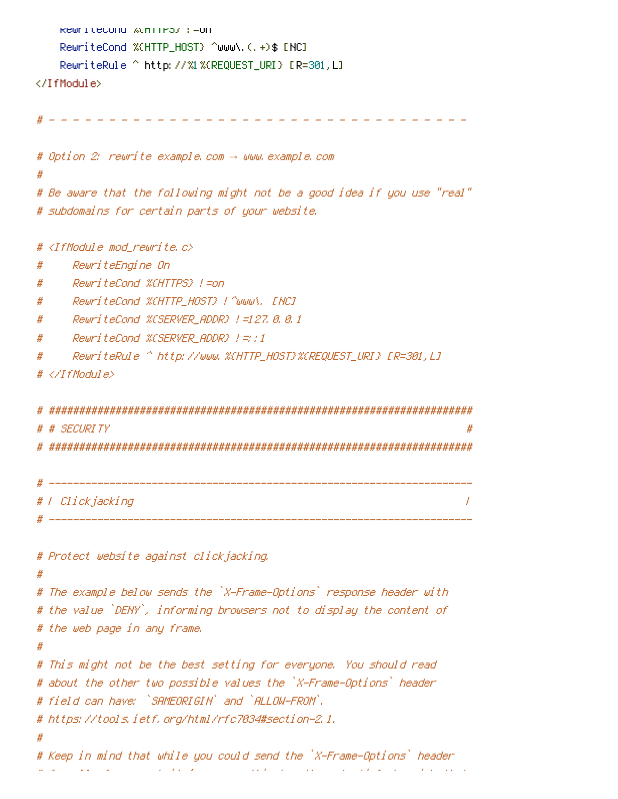```
RewriteCond %{HTTPS} !=on
   RewriteCond %{HTTP_HOST} ^www\.(.+)$ [NC]
   RewriteRule ^ http://%1%{REQUEST_URI} [R=301,L]
</IfModule>
 # - - - - - - - - - - - - - - - - - - - - - - - - - - - - - - - - - - -
# Option 2: rewrite example.com → www.example.com
#
# Be aware that the following might not be a good idea if you use "real"
# subdomains for certain parts of your website.
# <IfModule mod_rewrite.c>
# RewriteEngine On
# RewriteCond %{HTTPS} !=on
# RewriteCond %{HTTP_HOST} !^www\. [NC]
# RewriteCond %{SERVER_ADDR} !=127.0.0.1
# RewriteCond %{SERVER_ADDR} !=::1
# RewriteRule ^ http://www.%{HTTP_HOST}%{REQUEST_URI} [R=301,L]
# </IfModule>
# ######################################################################
 # # SECURITY #
 # ######################################################################
 # ----------------------------------------------------------------------
# | Clickjacking |
 # ----------------------------------------------------------------------
# Protect website against clickjacking.
#
# The example below sends the `X-Frame-Options` response header with
# the value `DENY`, informing browsers not to display the content of
```
- # the web page in any frame.
- #

```
# This might not be the best setting for everyone. You should read
# about the other two possible values the `X-Frame-Options` header
# field can have: `SAMEORIGIN` and `ALLOW-FROM`.
```

```
# https://tools.ietf.org/html/rfc7034#section-2.1.
```
#

```
# Keep in mind that while you could send the `X-Frame-Options` header
# for all of your website's pages, this has the potential downside that
```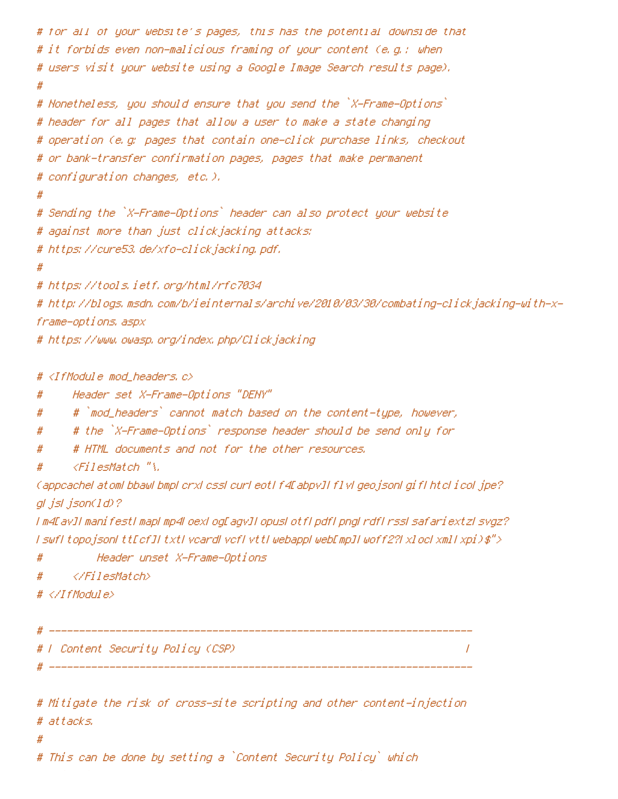```
# for all of your website's pages, this has the potential downside that
# it forbids even non-malicious framing of your content (e.g.: when
# users visit your website using a Google Image Search results page).
#
# Nonetheless, you should ensure that you send the `X-Frame-Options`
# header for all pages that allow a user to make a state changing
# operation (e.g: pages that contain one-click purchase links, checkout
# or bank-transfer confirmation pages, pages that make permanent
# configuration changes, etc.).
#
# Sending the `X-Frame-Options` header can also protect your website
# against more than just clickjacking attacks:
# https://cure53.de/xfo-clickjacking.pdf.
#
# https://tools.ietf.org/html/rfc7034
# http://blogs.msdn.com/b/ieinternals/archive/2010/03/30/combating-clickjacking-with-x-
frame-options.aspx
# https://www.owasp.org/index.php/Clickjacking
# <IfModule mod_headers.c>
# Header set X-Frame-Options "DENY"
# # `mod_headers` cannot match based on the content-type, however,
# # the `X-Frame-Options` response header should be send only for
# # HTML documents and not for the other resources.
```
# <FilesMatch "\.

(appcache|atom|bbaw|bmp|crx|css|cur|eot|f4[abpv]|flv|geojson|gif|htc|ico|jpe? g|js|json(ld)?

|m4[av]|manifest|map|mp4|oex|og[agv]|opus|otf|pdf|png|rdf|rss|safariextz|svgz? |swf|topojson|tt[cf]|txt|vcard|vcf|vtt|webapp|web[mp]|woff2?|xloc|xml|xpi)\$">

# Header unset X-Frame-Options

# </FilesMatch>

```
# </IfModule>
```
# ---------------------------------------------------------------------- # | Content Security Policy (CSP) | # ----------------------------------------------------------------------

# Mitigate the risk of cross-site scripting and other content-injection # attacks. #

# This can be done by setting <sup>a</sup> `Content Security Policy` which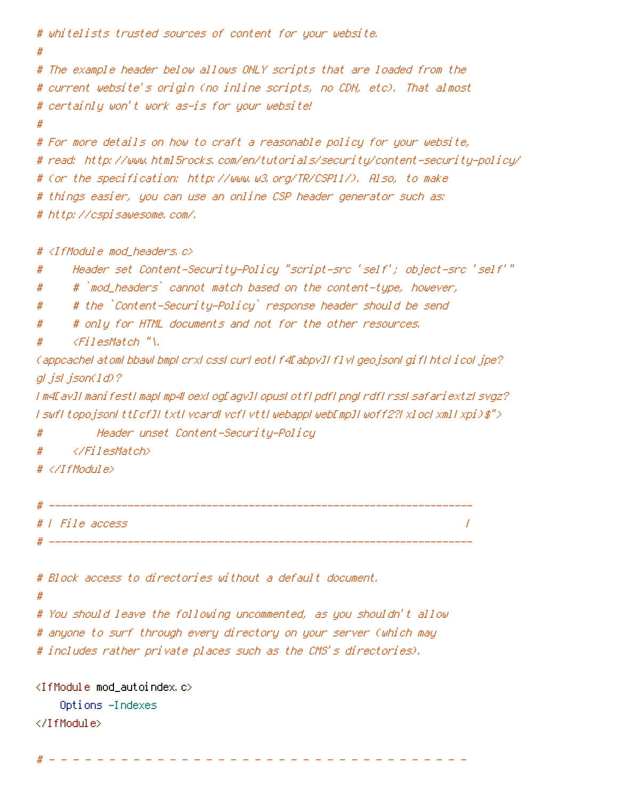```
# whitelists trusted sources of content for your website.
#
# The example header below allows ONLY scripts that are loaded from the
# current website's origin (no inline scripts, no CDN, etc). That almost
# certainly won't work as-is for your website!
#
# For more details on how to craft a reasonable policy for your website,
# read: http://www.html5rocks.com/en/tutorials/security/content-security-policy/
# (or the specification: http://www.w3.org/TR/CSP11/). Also, to make
# things easier, you can use an online CSP header generator such as:
# http://cspisawesome.com/.
```
# <IfModule mod\_headers.c>

- # Header set Content-Security-Policy "script-src 'self'; object-src 'self'"
- # # `mod\_headers` cannot match based on the content-type, however,
- # # the `Content-Security-Policy` response header should be send
- # # only for HTML documents and not for the other resources.
- # <FilesMatch "\.

(appcache|atom|bbaw|bmp|crx|css|cur|eot|f4[abpv]|flv|geojson|gif|htc|ico|jpe? g|js|json(ld)?

|m4[av]|manifest|map|mp4|oex|og[agv]|opus|otf|pdf|png|rdf|rss|safariextz|svgz? |swf|topojson|tt[cf]|txt|vcard|vcf|vtt|webapp|web[mp]|woff2?|xloc|xml|xpi)\$">

- # Header unset Content-Security-Policy
- # </FilesMatch>
- # </IfModule>

| # |                 |  |
|---|-----------------|--|
|   | #   File access |  |
| Д |                 |  |

| # Block access to directories without a default document. |
|-----------------------------------------------------------|
|-----------------------------------------------------------|

#

# You should leave the following uncommented, as you shouldn't allow # anyone to surf through every directory on your server (which may

# includes rather private places such as the CMS's directories).

<IfModule mod\_autoindex.c> Options -Indexes </IfModule>

# - - - - - - - - - - - - - - - - - - - - - - - - - - - - - - - - - - -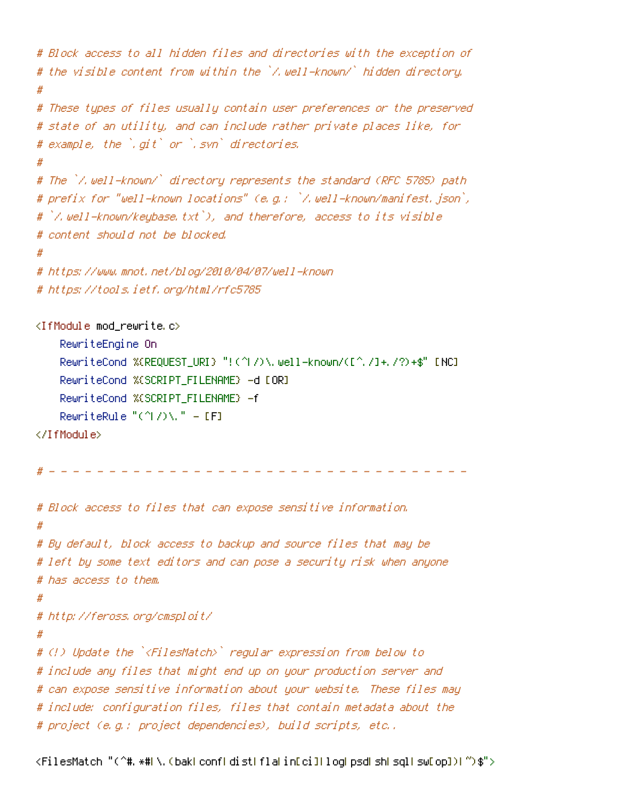```
# Block access to all hidden files and directories with the exception of
# the visible content from within the `/.well-known/` hidden directory.
#
# These types of files usually contain user preferences or the preserved
# state of an utility, and can include rather private places like, for
# example, the `.git` or `.svn` directories.
#
# The `/.well-known/` directory represents the standard (RFC 5785) path
# prefix for "well-known locations" (e.g.: `/.well-known/manifest.json`,
# `/.well-known/keybase.txt`), and therefore, access to its visible
# content should not be blocked.
#
# https://www.mnot.net/blog/2010/04/07/well-known
# https://tools.ietf.org/html/rfc5785
<IfModule mod_rewrite.c>
    RewriteEngine On
    RewriteCond %{REQUEST_URI} "!(^|/)\.well-known/([^./]+./?)+$" [NC]
    RewriteCond %{SCRIPT_FILENAME} -d [OR]
    RewriteCond %{SCRIPT_FILENAME} -f
    RewriteRule "(^|/)\." - [F]
</IfModule>
  # - - - - - - - - - - - - - - - - - - - - - - - - - - - - - - - - - - -
# Block access to files that can expose sensitive information.
#
# By default, block access to backup and source files that may be
# left by some text editors and can pose a security risk when anyone
# has access to them.
#
# http://feross.org/cmsploit/
#
# (!) Update the `<FilesMatch>` regular expression from below to
# include any files that might end up on your production server and
# can expose sensitive information about your website. These files may
# include: configuration files, files that contain metadata about the
# project (e.g.: project dependencies), build scripts, etc..
```

```
<FilesMatch "(^#.*#|\.(bak|conf|dist|fla|in[ci]|log|psd|sh|sql|sw[op])|~)$">
```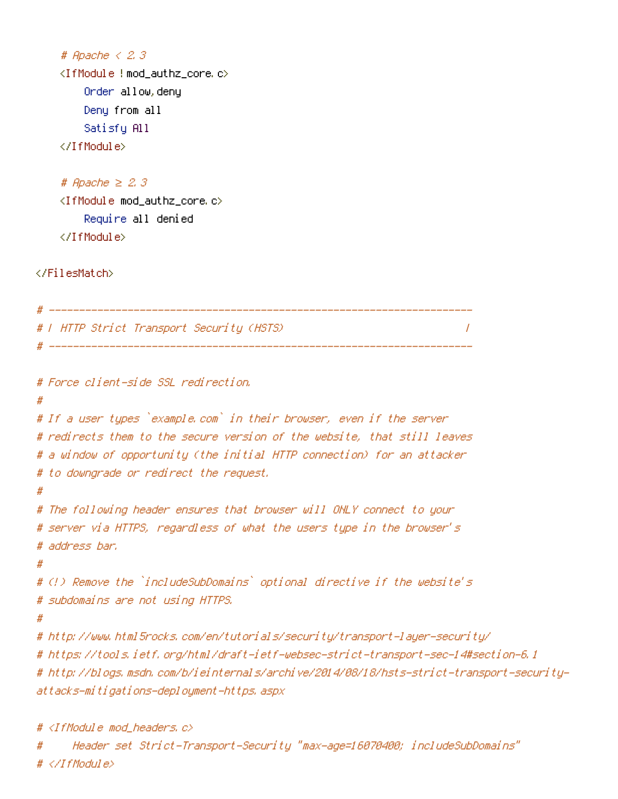```
# Apache < 2.3
<IfModule !mod_authz_core.c>
    Order allow,deny
    Deny from all
    Satisfy All
</IfModule>
```

```
# Apache ≥ 2.3
<IfModule mod_authz_core.c>
    Require all denied
</IfModule>
```
</FilesMatch>

```
# ----------------------------------------------------------------------
# | HTTP Strict Transport Security (HSTS) |
 # ----------------------------------------------------------------------
```

```
# Force client-side SSL redirection.
#
# If a user types `example.com` in their browser, even if the server
# redirects them to the secure version of the website, that still leaves
# a window of opportunity (the initial HTTP connection) for an attacker
# to downgrade or redirect the request.
#
# The following header ensures that browser will ONLY connect to your
# server via HTTPS, regardless of what the users type in the browser's
# address bar.
#
# (!) Remove the `includeSubDomains` optional directive if the website's
# subdomains are not using HTTPS.
#
# http://www.html5rocks.com/en/tutorials/security/transport-layer-security/
# https://tools.ietf.org/html/draft-ietf-websec-strict-transport-sec-14#section-6.1
# http://blogs.msdn.com/b/ieinternals/archive/2014/08/18/hsts-strict-transport-security-
attacks-mitigations-deployment-https.aspx
```

```
# <IfModule mod_headers.c>
```

```
# Header set Strict-Transport-Security "max-age=16070400; includeSubDomains"
# </IfModule>
```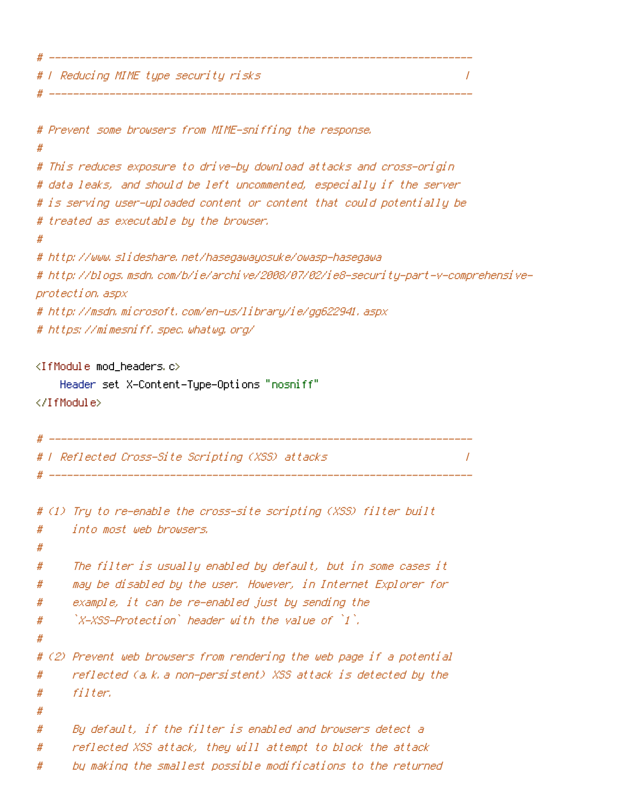# | Reducing MIME type security risks |

```
# Prevent some browsers from MIME-sniffing the response.
#
# This reduces exposure to drive-by download attacks and cross-origin
# data leaks, and should be left uncommented, especially if the server
# is serving user-uploaded content or content that could potentially be
# treated as executable by the browser.
#
# http://www.slideshare.net/hasegawayosuke/owasp-hasegawa
# http://blogs.msdn.com/b/ie/archive/2008/07/02/ie8-security-part-v-comprehensive-
protection.aspx
# http://msdn.microsoft.com/en-us/library/ie/gg622941.aspx
# https://mimesniff.spec.whatwg.org/
<IfModule mod_headers.c>
    Header set X-Content-Type-Options "nosniff"
</IfModule>
# ----------------------------------------------------------------------
# | Reflected Cross-Site Scripting (XSS) attacks |
 # ----------------------------------------------------------------------
# (1) Try to re-enable the cross-site scripting (XSS) filter built
# into most web browsers.
#
# The filter is usually enabled by default, but in some cases it
# may be disabled by the user. However, in Internet Explorer for
# example, it can be re-enabled just by sending the
\# \hbox{X-XSS-Protection} header with the value of [1].
#
# (2) Prevent web browsers from rendering the web page if a potential
# reflected (a.k.a non-persistent) XSS attack is detected by the
# filter.
#
# By default, if the filter is enabled and browsers detect a
# reflected XSS attack, they will attempt to block the attack
# by making the smallest possible modifications to the returned
```
# ----------------------------------------------------------------------

# ----------------------------------------------------------------------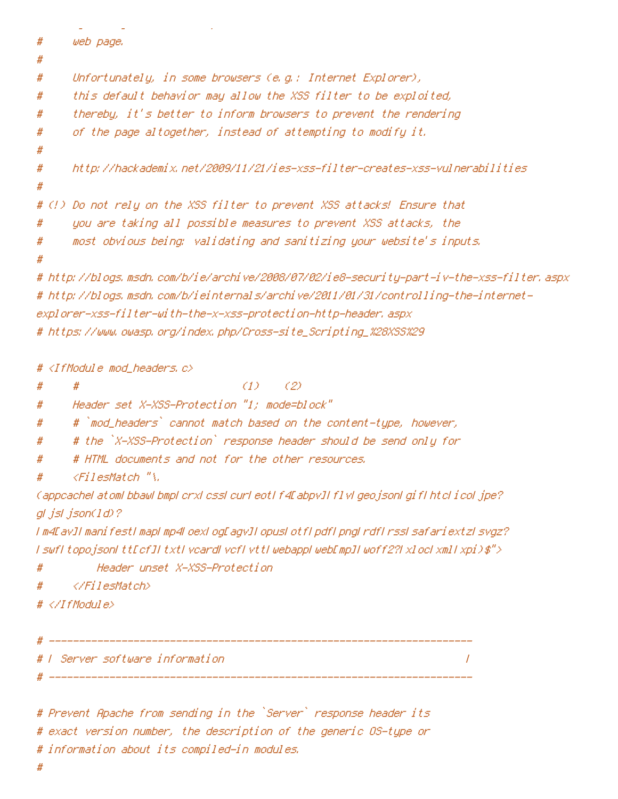```
# by making the smallest possible modifications to the returned
# web page.
#
# Unfortunately, in some browsers (e.g.: Internet Explorer),
# this default behavior may allow the XSS filter to be exploited,
# thereby, it's better to inform browsers to prevent the rendering
# of the page altogether, instead of attempting to modify it.
#
# http://hackademix.net/2009/11/21/ies-xss-filter-creates-xss-vulnerabilities
#
# (!) Do not rely on the XSS filter to prevent XSS attacks! Ensure that
# you are taking all possible measures to prevent XSS attacks, the
# most obvious being: validating and sanitizing your website's inputs.
#
# http://blogs.msdn.com/b/ie/archive/2008/07/02/ie8-security-part-iv-the-xss-filter.aspx
# http://blogs.msdn.com/b/ieinternals/archive/2011/01/31/controlling-the-internet-
explorer-xss-filter-with-the-x-xss-protection-http-header.aspx
# https://www.owasp.org/index.php/Cross-site_Scripting_%28XSS%29
# <IfModule mod_headers.c>
# # (1) (2)
# Header set X-XSS-Protection "1; mode=block"
# # `mod_headers` cannot match based on the content-type, however,
# # the `X-XSS-Protection` response header should be send only for
# # HTML documents and not for the other resources.
# <FilesMatch "\.
(appcache|atom|bbaw|bmp|crx|css|cur|eot|f4[abpv]|flv|geojson|gif|htc|ico|jpe?
g|js|json(ld)?
|m4[av]|manifest|map|mp4|oex|og[agv]|opus|otf|pdf|png|rdf|rss|safariextz|svgz?
| swf| topojson| tt[cf]| txt| vcard| vcf| vtt| webapp| web[mp]| woff2?| xloc| xml| xpi)\$">
# Header unset X-XSS-Protection
# </FilesMatch>
# </IfModule>
```

```
# ----------------------------------------------------------------------
# | Server software information |
# ----------------------------------------------------------------------
```
# Prevent Apache from sending in the `Server` response header its # exact version number, the description of the generic OS-type or # information about its compiled-in modules.

#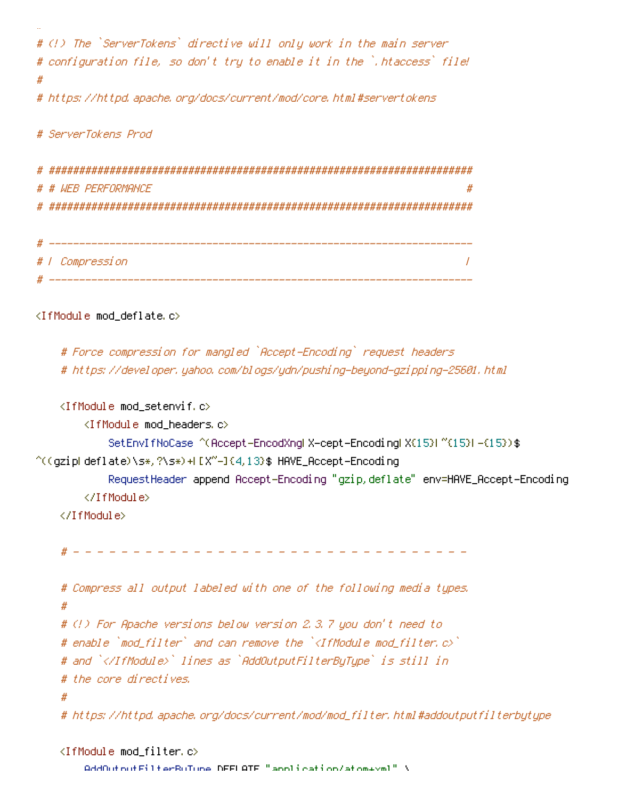```
# (!) The `ServerTokens` directive will only work in the main server
# configuration file, so don't try to enable it in the `.htaccess` file!
#
# https://httpd.apache.org/docs/current/mod/core.html#servertokens
```
# ServerTokens Prod

#

# ###################################################################### # # WEB PERFORMANCE # ######################################################################

```
# ----------------------------------------------------------------------
# | Compression |
 # ----------------------------------------------------------------------
```
<IfModule mod\_deflate.c>

```
# Force compression for mangled `Accept-Encoding` request headers
# https://developer.yahoo.com/blogs/ydn/pushing-beyond-gzipping-25601.html
```

```
<IfModule mod_setenvif.c>
        <IfModule mod_headers.c>
            SetEnvIfNoCase ^(Accept-EncodXng|X-cept-Encoding|X{15}|~{15}|-{15})$
\hat{C}((gzip|deflate)\s*,?\s*)+|[X~-]{4,13}$ HAVE_Accept-Encoding
            RequestHeader append Accept-Encoding "gzip,deflate" env=HAVE_Accept-Encoding
        </IfModule>
    </IfModule>
    # - - - - - - - - - - - - - - - - - - - - - - - - - - - - - - - - -
    # Compress all output labeled with one of the following media types.
    #
    # (!) For Apache versions below version 2.3.7 you don't need to
    # enable `mod_filter` and can remove the `<IfModule mod_filter.c>`
    # and `</IfModule>` lines as `AddOutputFilterByType` is still in
    # the core directives.
    #
    # https://httpd.apache.org/docs/current/mod/mod_filter.html#addoutputfilterbytype
```

```
<IfModule mod_filter.c>
    AddOutputFilterByType DEFLATE "application/atom+xml" \
```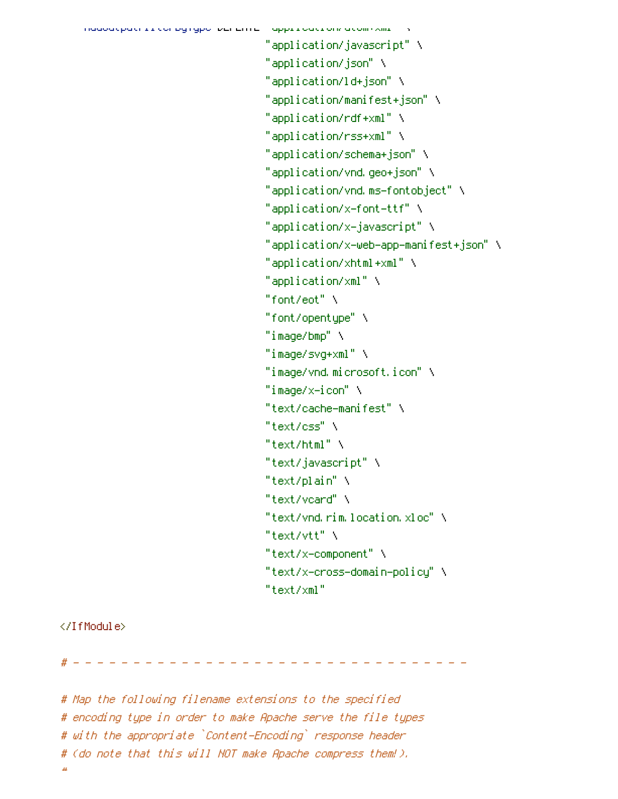```
"application/javascript" \
"application/json" \
"application/ld+json" \
"application/manifest+json" \
"application/rdf+xml" \
"application/rss+xml" \
"application/schema+json" \
"application/vnd.geo+json" \
"application/vnd.ms-fontobject" \
"application/x-font-ttf" \
"application/x-javascript" \
"application/x-web-app-manifest+json" \
"application/xhtml+xml" \
"application/xml" \
"font/eot" \
"font/opentype" \
"image/bmp" \
"image/svg+xml" \
"image/vnd.microsoft.icon" \
"image/x-icon" \
"text/cache-manifest" \
"text/css" \
"text/html" \setminus"text/javascript" \
"text/plain" \
"text/vcard" \
"text/vnd.rim.location.xloc" \
"text/vtt" \
"text/x-component" \
"text/x-cross-domain-policy" \
"text/xml"
```
#### </IfModule>

# - - - - - - - - - - - - - - - - - - - - - - - - - - - - - - - - -

# Map the following filename extensions to the specified # encoding type in order to make Apache serve the file types # with the appropriate `Content-Encoding` response header # (do note that this will NOT make Apache compress them!). #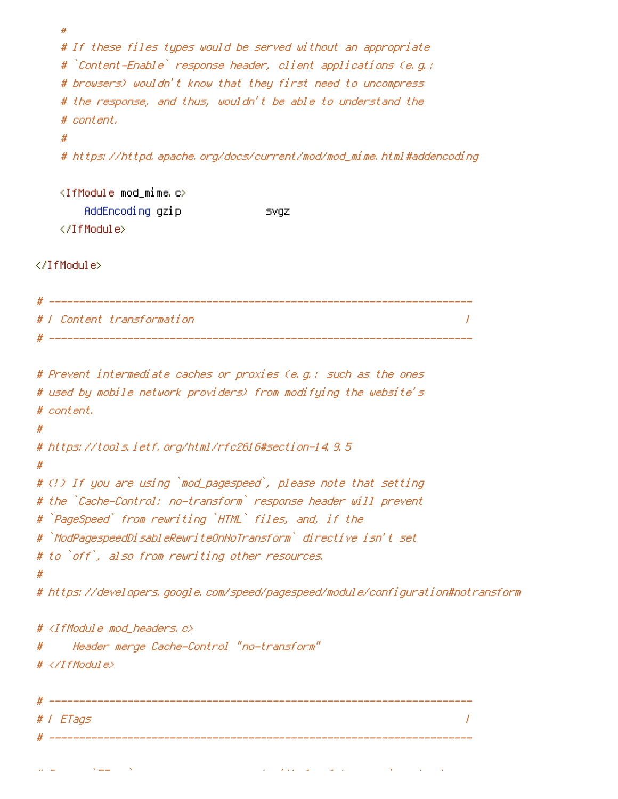```
#
    # If these files types would be served without an appropriate
    # `Content-Enable` response header, client applications (e.g.:
    # browsers) wouldn't know that they first need to uncompress
    # the response, and thus, wouldn't be able to understand the
    # content.
    #
    # https://httpd.apache.org/docs/current/mod/mod_mime.html#addencoding
    \triangleleftIfModule mod mime.c>AddEncoding gzip svgz
    </IfModule>
</IfModule>
# ----------------------------------------------------------------------
# | Content transformation |
# ----------------------------------------------------------------------
# Prevent intermediate caches or proxies (e.g.: such as the ones
# used by mobile network providers) from modifying the website's
# content.
#
# https://tools.ietf.org/html/rfc2616#section-14.9.5
#
# (!) If you are using `mod_pagespeed`, please note that setting
# the `Cache-Control: no-transform` response header will prevent
# `PageSpeed` from rewriting `HTML` files, and, if the
# `ModPagespeedDisableRewriteOnNoTransform` directive isn't set
# to `off`, also from rewriting other resources.
#
# https://developers.google.com/speed/pagespeed/module/configuration#notransform
# <IfModule mod_headers.c>
# Header merge Cache-Control "no-transform"
# </IfModule>
  # ----------------------------------------------------------------------
# | ETags |
 # ----------------------------------------------------------------------
```
# Remove `ETags` as resources are sent with far-future expires headers.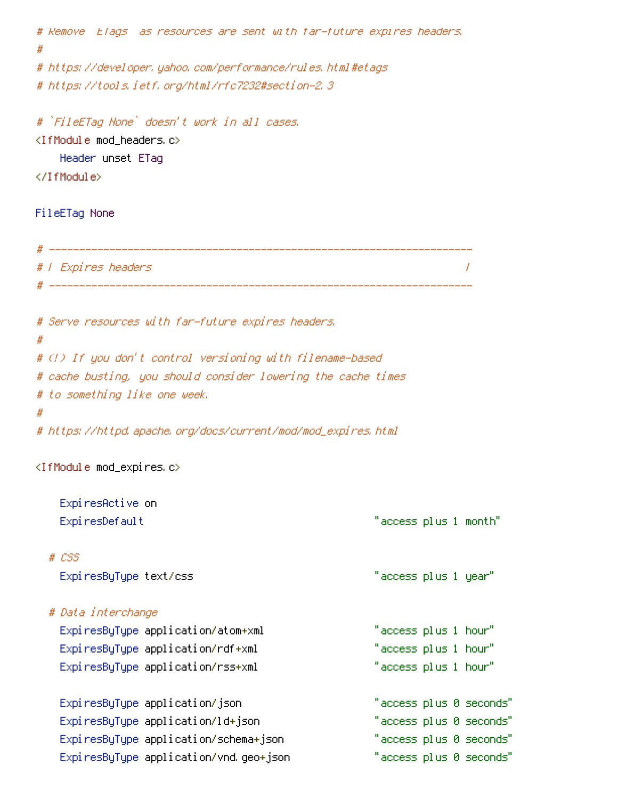```
# Remove `ETags` as resources are sent with far-future expires headers.
#
# https://developer.yahoo.com/performance/rules.html#etags
# https://tools.ietf.org/html/rfc7232#section-2.3
# `FileETag None` doesn't work in all cases.
<IfModule mod_headers.c>
   Header unset ETag
</IfModule>
FileETag None
# ----------------------------------------------------------------------
# | Expires headers |
        # ----------------------------------------------------------------------
# Serve resources with far-future expires headers.
#
# (!) If you don't control versioning with filename-based
# cache busting, you should consider lowering the cache times
# to something like one week.
#
# https://httpd.apache.org/docs/current/mod/mod_expires.html
<IfModule mod_expires.c>
   ExpiresActive on
   ExpiresDefault "access plus 1 month"
 # CSS
   ExpiresByType text/css "access plus 1 year"
 # Data interchange
   ExpiresByType application/atom+xml "access plus 1 hour"
   ExpiresByType application/rdf+xml "access plus 1 hour"
   ExpiresByType application/rss+xml "access plus 1 hour"
   ExpiresByType application/json "access plus 0 seconds"
   ExpiresByType application/ld+json "access plus 0 seconds"
   ExpiresByType application/schema+json "access plus 0 seconds"
   ExpiresByType application/vnd.geo+json "access plus 0 seconds"
```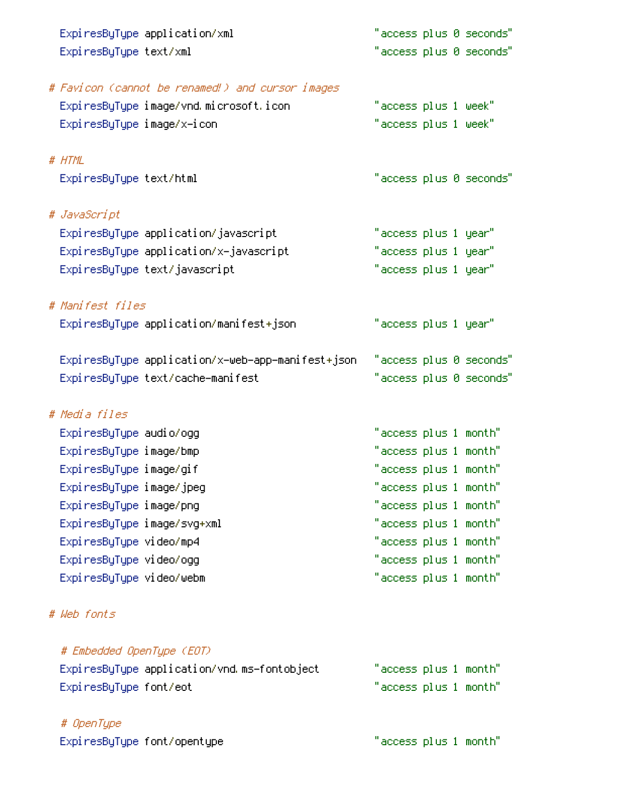|                             | ExpiresByType application/xml                     |                       |  | "access plus 0 seconds" |
|-----------------------------|---------------------------------------------------|-----------------------|--|-------------------------|
| ExpiresByType text/xml      |                                                   |                       |  | "access plus 0 seconds" |
|                             |                                                   |                       |  |                         |
|                             | # Favicon (cannot be renamed!) and cursor images  |                       |  |                         |
|                             | ExpiresByType image/vnd.microsoft.icon            | "access plus 1 week"  |  |                         |
| ExpiresByType image/x-icon  |                                                   | "access plus 1 week"  |  |                         |
|                             |                                                   |                       |  |                         |
| # HTML                      |                                                   |                       |  |                         |
| ExpiresByType text/html     |                                                   |                       |  | "access plus 0 seconds" |
|                             |                                                   |                       |  |                         |
| # JavaScript                |                                                   |                       |  |                         |
|                             | ExpiresByType application/javascript              | "access plus 1 year"  |  |                         |
|                             | ExpiresByType application/x-javascript            | "access plus 1 year"  |  |                         |
|                             | ExpiresByType text/javascript                     | "access plus 1 year"  |  |                         |
|                             |                                                   |                       |  |                         |
| # Manifest files            |                                                   |                       |  |                         |
|                             | ExpiresByType application/manifest+json           | "access plus 1 year"  |  |                         |
|                             |                                                   |                       |  |                         |
|                             | ExpiresByType application/x-web-app-manifest+json |                       |  | "access plus 0 seconds" |
|                             | ExpiresByType text/cache-manifest                 |                       |  | "access plus 0 seconds" |
|                             |                                                   |                       |  |                         |
| # Media files               |                                                   |                       |  |                         |
| Expi resByType audio/ogg    |                                                   | "access plus 1 month" |  |                         |
| ExpiresByType image/bmp     |                                                   | "access plus 1 month" |  |                         |
| ExpiresByType image/gif     |                                                   | "access plus 1 month" |  |                         |
| ExpiresByType image/jpeg    |                                                   | "access plus 1 month" |  |                         |
| ExpiresByType image/png     |                                                   | "access plus 1 month" |  |                         |
| ExpiresByType image/svg+xml |                                                   | "access plus 1 month" |  |                         |
| ExpiresByType video/mp4     |                                                   | "access plus 1 month" |  |                         |
| ExpiresByType video/ogg     |                                                   | "access plus 1 month" |  |                         |
| ExpiresByType video/webm    |                                                   | "access plus 1 month" |  |                         |
|                             |                                                   |                       |  |                         |
| # Web fonts                 |                                                   |                       |  |                         |
|                             |                                                   |                       |  |                         |
| # Embedded OpenType (EOT)   |                                                   |                       |  |                         |
|                             | ExpiresByType application/vnd.ms-fontobject       | "access plus 1 month" |  |                         |
| ExpiresByType font/eot      |                                                   | "access plus 1 month" |  |                         |
|                             |                                                   |                       |  |                         |
| # OpenType                  |                                                   |                       |  |                         |
| ExpiresByType font/opentype |                                                   | "access plus 1 month" |  |                         |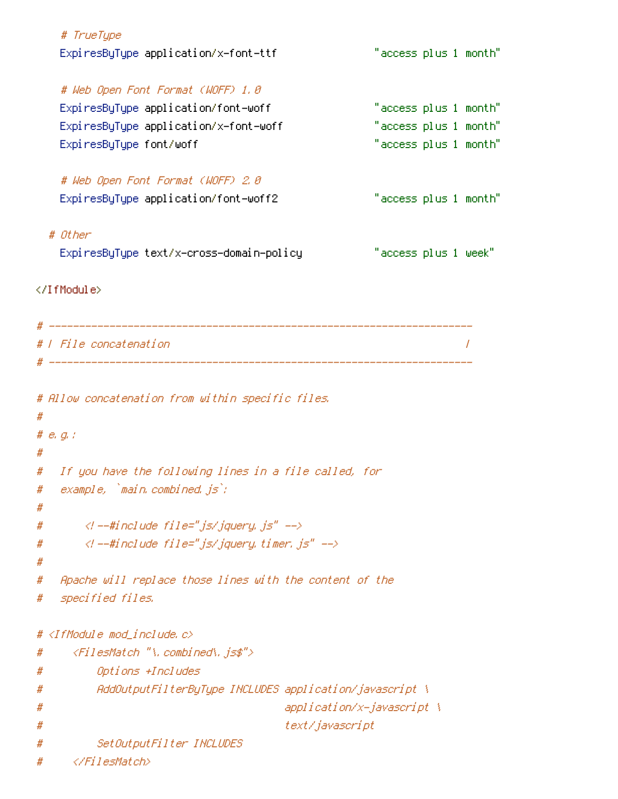|   | # TrueType                                              |                            |                       |  |
|---|---------------------------------------------------------|----------------------------|-----------------------|--|
|   | ExpiresByType application/x-font-ttf                    |                            | "access plus 1 month" |  |
|   | # Web Open Font Format (WOFF) 1.0                       |                            |                       |  |
|   | ExpiresByType application/font-woff                     |                            | "access plus 1 month" |  |
|   | ExpiresByType application/x-font-woff                   |                            | "access plus 1 month" |  |
|   | ExpiresByType font/woff                                 |                            | "access plus 1 month" |  |
|   | # Web Open Font Format (WOFF) 2.8                       |                            |                       |  |
|   | ExpiresByType application/font-woff2                    |                            | "access plus 1 month" |  |
|   | # Other                                                 |                            |                       |  |
|   | ExpiresByType text/x-cross-domain-policy                |                            | "access plus 1 week"  |  |
|   |                                                         |                            |                       |  |
|   |                                                         |                            |                       |  |
|   | #   File concatenation                                  |                            |                       |  |
|   |                                                         |                            |                       |  |
|   | # Allow concatenation from within specific files.       |                            |                       |  |
| # |                                                         |                            |                       |  |
|   | # $e$ , $q$ , $q$                                       |                            |                       |  |
| # |                                                         |                            |                       |  |
|   | # If you have the following lines in a file called, for |                            |                       |  |
| # | example, `main.combined.js`;                            |                            |                       |  |
| # |                                                         |                            |                       |  |
| # | $\langle$ l --#include file="js/jquery.js" -->          |                            |                       |  |
| # | $\langle$ l --#include file="js/jquery.timer.js" -->    |                            |                       |  |
| # |                                                         |                            |                       |  |
| # | Apache will replace those lines with the content of the |                            |                       |  |
| # | specified files.                                        |                            |                       |  |
|   | # <ifmodule mod_include.c=""></ifmodule>                |                            |                       |  |
| # | <filesmatch "\.combined\.js\$"=""></filesmatch>         |                            |                       |  |
| # | Options +Includes                                       |                            |                       |  |
| # | AddOutputFilterByType INCLUDES application/javascript \ |                            |                       |  |
| # |                                                         | application/x-javascript \ |                       |  |
| # |                                                         | text/javascript            |                       |  |
| # | SetOutputFilter INCLUDES                                |                            |                       |  |
| # |                                                         |                            |                       |  |